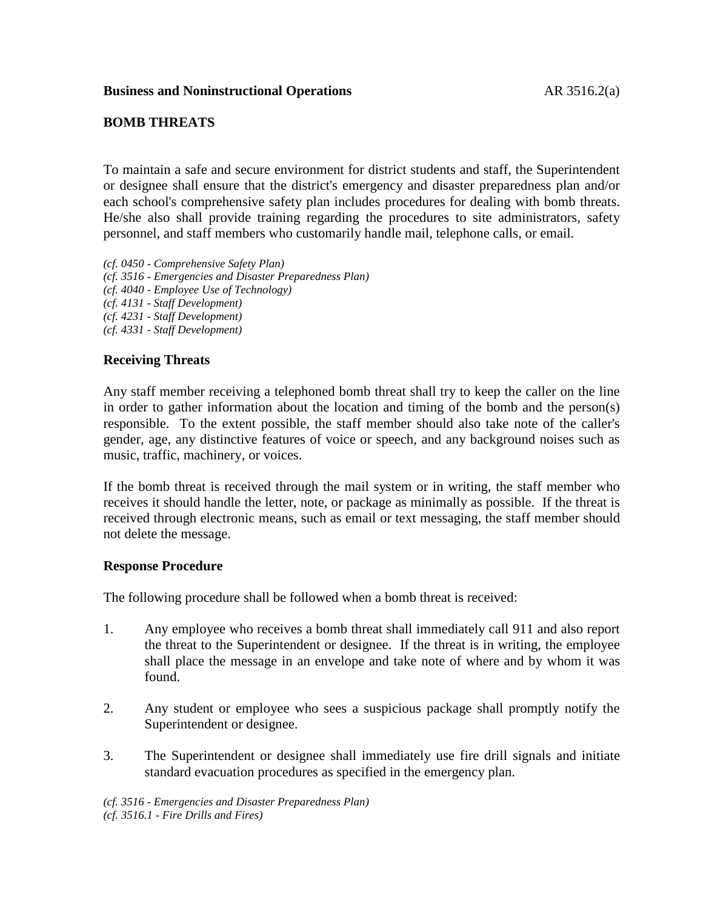## **Business and Noninstructional Operations** AR 3516.2(a)

## **BOMB THREATS**

To maintain a safe and secure environment for district students and staff, the Superintendent or designee shall ensure that the district's emergency and disaster preparedness plan and/or each school's comprehensive safety plan includes procedures for dealing with bomb threats. He/she also shall provide training regarding the procedures to site administrators, safety personnel, and staff members who customarily handle mail, telephone calls, or email.

- *(cf. 0450 - Comprehensive Safety Plan)*
- *(cf. 3516 - Emergencies and Disaster Preparedness Plan)*
- *(cf. 4040 - Employee Use of Technology)*
- *(cf. 4131 - Staff Development)*
- *(cf. 4231 - Staff Development)*
- *(cf. 4331 - Staff Development)*

# **Receiving Threats**

Any staff member receiving a telephoned bomb threat shall try to keep the caller on the line in order to gather information about the location and timing of the bomb and the person(s) responsible. To the extent possible, the staff member should also take note of the caller's gender, age, any distinctive features of voice or speech, and any background noises such as music, traffic, machinery, or voices.

If the bomb threat is received through the mail system or in writing, the staff member who receives it should handle the letter, note, or package as minimally as possible. If the threat is received through electronic means, such as email or text messaging, the staff member should not delete the message.

## **Response Procedure**

The following procedure shall be followed when a bomb threat is received:

- 1. Any employee who receives a bomb threat shall immediately call 911 and also report the threat to the Superintendent or designee. If the threat is in writing, the employee shall place the message in an envelope and take note of where and by whom it was found.
- 2. Any student or employee who sees a suspicious package shall promptly notify the Superintendent or designee.
- 3. The Superintendent or designee shall immediately use fire drill signals and initiate standard evacuation procedures as specified in the emergency plan.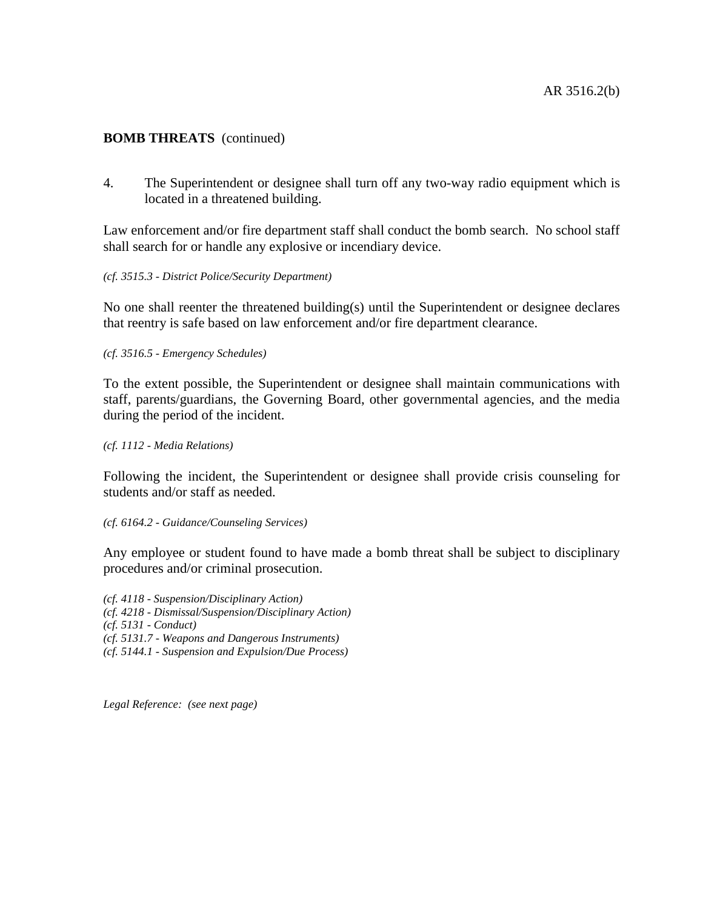# **BOMB THREATS** (continued)

4. The Superintendent or designee shall turn off any two-way radio equipment which is located in a threatened building.

Law enforcement and/or fire department staff shall conduct the bomb search. No school staff shall search for or handle any explosive or incendiary device.

### *(cf. 3515.3 - District Police/Security Department)*

No one shall reenter the threatened building(s) until the Superintendent or designee declares that reentry is safe based on law enforcement and/or fire department clearance.

### *(cf. 3516.5 - Emergency Schedules)*

To the extent possible, the Superintendent or designee shall maintain communications with staff, parents/guardians, the Governing Board, other governmental agencies, and the media during the period of the incident.

### *(cf. 1112 - Media Relations)*

Following the incident, the Superintendent or designee shall provide crisis counseling for students and/or staff as needed.

#### *(cf. 6164.2 - Guidance/Counseling Services)*

Any employee or student found to have made a bomb threat shall be subject to disciplinary procedures and/or criminal prosecution.

*(cf. 4118 - Suspension/Disciplinary Action) (cf. 4218 - Dismissal/Suspension/Disciplinary Action) (cf. 5131 - Conduct) (cf. 5131.7 - Weapons and Dangerous Instruments) (cf. 5144.1 - Suspension and Expulsion/Due Process)*

*Legal Reference: (see next page)*